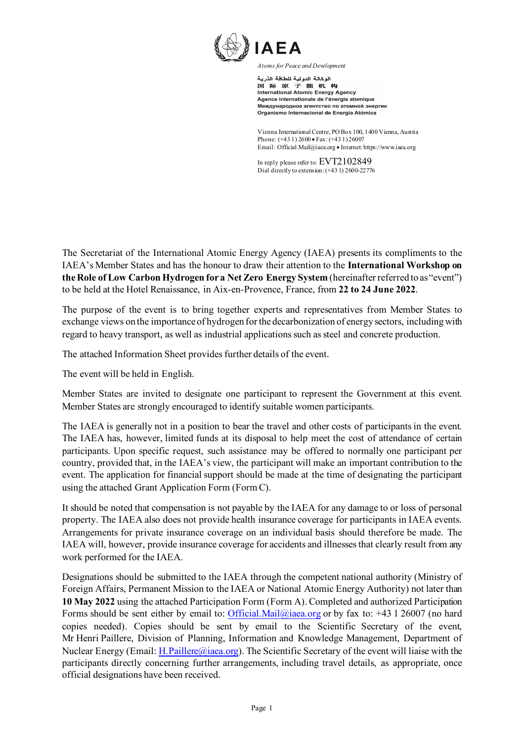

الوكالة الدولية للطاقة الذرية 国际原子能机构<br>International Atomic Energy Agency Agence internationale de l'énergie atomique Международное агентство по атомной энергии Organismo Internacional de Energía Atómica

Vienna International Centre, PO Box 100, 1400 Vienna, Austria Phone: (+43 1) 2600 • Fax: (+43 1) 26007 Email: Official.Mail@iaea.org • Interne[t: https://www.iaea.org](https://www.iaea.org/)

In reply please refer to: EVT2102849 Dial directly to extension: (+43 1) 2600-22776

The Secretariat of the International Atomic Energy Agency (IAEA) presents its compliments to the IAEA's Member States and has the honour to draw their attention to the **International Workshop on the Role of Low Carbon Hydrogen for a Net Zero Energy System** (hereinafter referred to as"event") to be held at the Hotel Renaissance, in Aix-en-Provence, France, from **22 to 24 June 2022**.

The purpose of the event is to bring together experts and representatives from Member States to exchange views on the importance of hydrogen for the decarbonization of energy sectors, including with regard to heavy transport, as well as industrial applications such as steel and concrete production.

The attached Information Sheet provides further details of the event.

The event will be held in English.

Member States are invited to designate one participant to represent the Government at this event. Member States are strongly encouraged to identify suitable women participants.

The IAEA is generally not in a position to bear the travel and other costs of participants in the event. The IAEA has, however, limited funds at its disposal to help meet the cost of attendance of certain participants. Upon specific request, such assistance may be offered to normally one participant per country, provided that, in the IAEA's view, the participant will make an important contribution to the event. The application for financial support should be made at the time of designating the participant using the attached Grant Application Form (FormC).

It should be noted that compensation is not payable by the IAEA for any damage to or loss of personal property. The IAEA also does not provide health insurance coverage for participants in IAEA events. Arrangements for private insurance coverage on an individual basis should therefore be made. The IAEA will, however, provide insurance coverage for accidents and illnesses that clearly result from any work performed for the IAEA.

Designations should be submitted to the IAEA through the competent national authority (Ministry of Foreign Affairs, Permanent Mission to the IAEA or National Atomic Energy Authority) not later than **10 May 2022** using the attached Participation Form (Form A). Completed and authorized Participation Forms should be sent either by email to: [Official.Mail@iaea.org](mailto:Official.Mail@iaea.org) or by fax to: +43 1 26007 (no hard copies needed). Copies should be sent by email to the Scientific Secretary of the event, Mr Henri Paillere, Division of Planning, Information and Knowledge Management, Department of Nuclear Energy (Email: [H.Paillere@iaea.org\)](mailto:H.Paillere@iaea.org). The Scientific Secretary of the event will liaise with the participants directly concerning further arrangements, including travel details, as appropriate, once official designations have been received.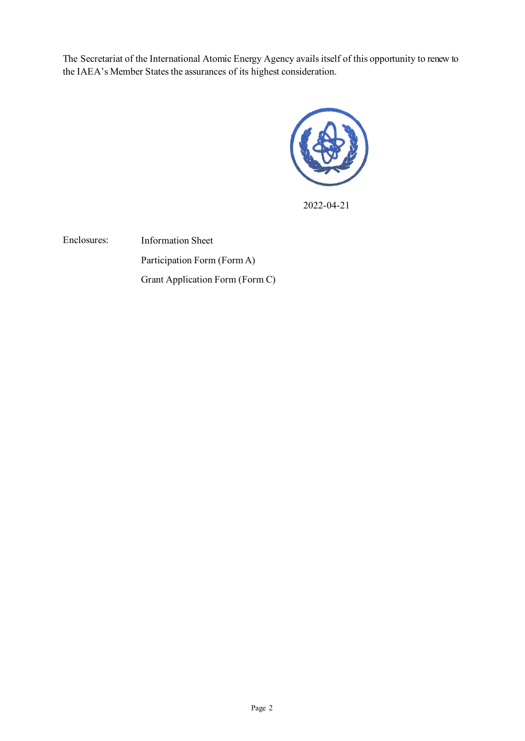The Secretariat of the International Atomic Energy Agency avails itself of this opportunity to renew to the IAEA's Member States the assurances of its highest consideration.



2022-04-21

Enclosures: Information Sheet Participation Form (Form A) Grant Application Form (Form C)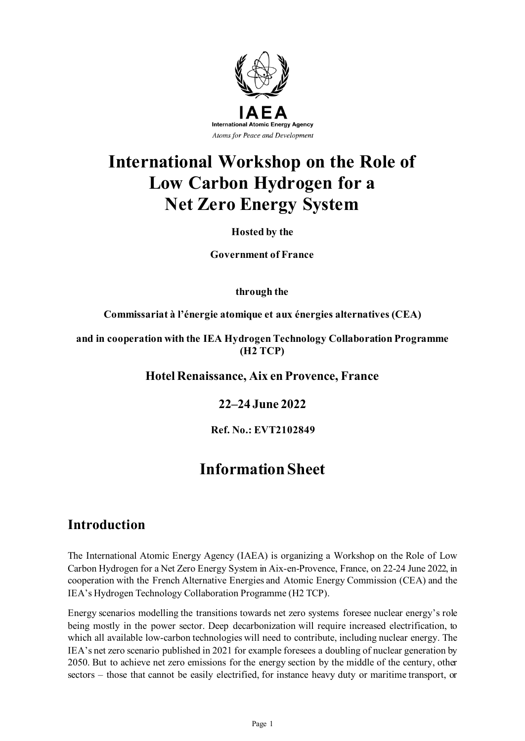

# **International Workshop on the Role of Low Carbon Hydrogen for a Net Zero Energy System**

#### **Hosted by the**

**Government of France**

**through the**

**Commissariat à l'énergie atomique et aux énergies alternatives (CEA)**

**and in cooperation with the IEA Hydrogen Technology Collaboration Programme (H2 TCP)**

**Hotel Renaissance, Aix en Provence, France**

**22–24 June 2022**

**Ref. No.: EVT2102849**

# **Information Sheet**

### **Introduction**

The International Atomic Energy Agency (IAEA) is organizing a Workshop on the Role of Low Carbon Hydrogen for a Net Zero Energy System in Aix-en-Provence, France, on 22-24 June 2022, in cooperation with the French Alternative Energies and Atomic Energy Commission (CEA) and the IEA's Hydrogen Technology Collaboration Programme (H2 TCP).

Energy scenarios modelling the transitions towards net zero systems foresee nuclear energy's role being mostly in the power sector. Deep decarbonization will require increased electrification, to which all available low-carbon technologies will need to contribute, including nuclear energy. The IEA's net zero scenario published in 2021 for example foresees a doubling of nuclear generation by 2050. But to achieve net zero emissions for the energy section by the middle of the century, other sectors – those that cannot be easily electrified, for instance heavy duty or maritime transport, or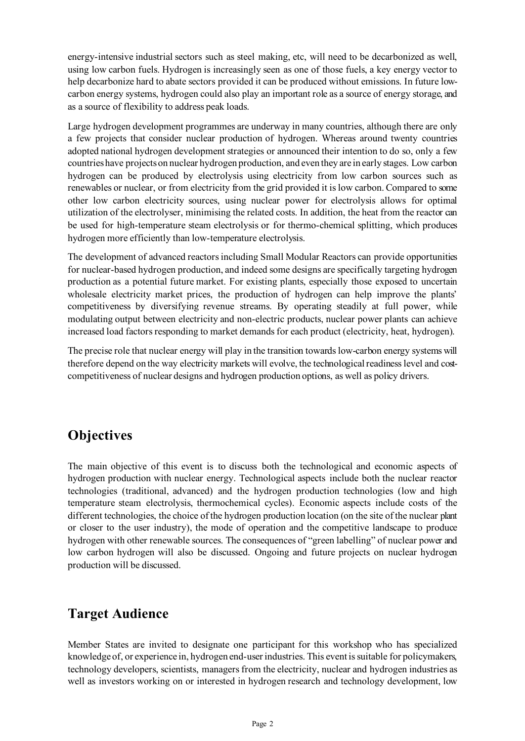energy-intensive industrial sectors such as steel making, etc, will need to be decarbonized as well, using low carbon fuels. Hydrogen is increasingly seen as one of those fuels, a key energy vector to help decarbonize hard to abate sectors provided it can be produced without emissions. In future lowcarbon energy systems, hydrogen could also play an important role as a source of energy storage, and as a source of flexibility to address peak loads.

Large hydrogen development programmes are underway in many countries, although there are only a few projects that consider nuclear production of hydrogen. Whereas around twenty countries adopted national hydrogen development strategies or announced their intention to do so, only a few countries have projects on nuclear hydrogen production, and even they are in early stages. Low carbon hydrogen can be produced by electrolysis using electricity from low carbon sources such as renewables or nuclear, or from electricity from the grid provided it is low carbon. Compared to some other low carbon electricity sources, using nuclear power for electrolysis allows for optimal utilization of the electrolyser, minimising the related costs. In addition, the heat from the reactor can be used for high-temperature steam electrolysis or for thermo-chemical splitting, which produces hydrogen more efficiently than low-temperature electrolysis.

The development of advanced reactors including Small Modular Reactors can provide opportunities for nuclear-based hydrogen production, and indeed some designs are specifically targeting hydrogen production as a potential future market. For existing plants, especially those exposed to uncertain wholesale electricity market prices, the production of hydrogen can help improve the plants' competitiveness by diversifying revenue streams. By operating steadily at full power, while modulating output between electricity and non-electric products, nuclear power plants can achieve increased load factors responding to market demands for each product (electricity, heat, hydrogen).

The precise role that nuclear energy will play in the transition towards low-carbon energy systems will therefore depend on the way electricity markets will evolve, the technological readiness level and costcompetitiveness of nuclear designs and hydrogen production options, as well as policy drivers.

## **Objectives**

The main objective of this event is to discuss both the technological and economic aspects of hydrogen production with nuclear energy. Technological aspects include both the nuclear reactor technologies (traditional, advanced) and the hydrogen production technologies (low and high temperature steam electrolysis, thermochemical cycles). Economic aspects include costs of the different technologies, the choice of the hydrogen production location (on the site of the nuclear plant or closer to the user industry), the mode of operation and the competitive landscape to produce hydrogen with other renewable sources. The consequences of "green labelling" of nuclear power and low carbon hydrogen will also be discussed. Ongoing and future projects on nuclear hydrogen production will be discussed.

## **Target Audience**

Member States are invited to designate one participant for this workshop who has specialized knowledge of, or experience in, hydrogen end-user industries. This event is suitable for policymakers, technology developers, scientists, managers from the electricity, nuclear and hydrogen industries as well as investors working on or interested in hydrogen research and technology development, low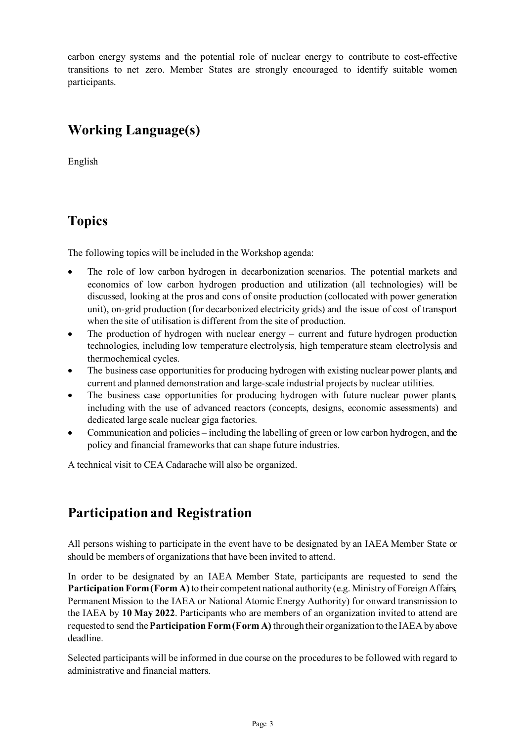carbon energy systems and the potential role of nuclear energy to contribute to cost-effective transitions to net zero. Member States are strongly encouraged to identify suitable women participants.

# **Working Language(s)**

English

## **Topics**

The following topics will be included in the Workshop agenda:

- The role of low carbon hydrogen in decarbonization scenarios. The potential markets and economics of low carbon hydrogen production and utilization (all technologies) will be discussed, looking at the pros and cons of onsite production (collocated with power generation unit), on-grid production (for decarbonized electricity grids) and the issue of cost of transport when the site of utilisation is different from the site of production.
- The production of hydrogen with nuclear energy current and future hydrogen production technologies, including low temperature electrolysis, high temperature steam electrolysis and thermochemical cycles.
- The business case opportunities for producing hydrogen with existing nuclear power plants, and current and planned demonstration and large-scale industrial projects by nuclear utilities.
- The business case opportunities for producing hydrogen with future nuclear power plants, including with the use of advanced reactors (concepts, designs, economic assessments) and dedicated large scale nuclear giga factories.
- Communication and policies including the labelling of green or low carbon hydrogen, and the policy and financial frameworks that can shape future industries.

A technical visit to CEA Cadarache will also be organized.

# **Participation and Registration**

All persons wishing to participate in the event have to be designated by an IAEA Member State or should be members of organizations that have been invited to attend.

In order to be designated by an IAEA Member State, participants are requested to send the **Participation Form (Form A)** to their competent national authority (e.g. Ministry of Foreign Affairs, Permanent Mission to the IAEA or National Atomic Energy Authority) for onward transmission to the IAEA by **10 May 2022**. Participants who are members of an organization invited to attend are requested to send the **Participation Form (Form A)** through their organization to the IAEA by above deadline.

Selected participants will be informed in due course on the procedures to be followed with regard to administrative and financial matters.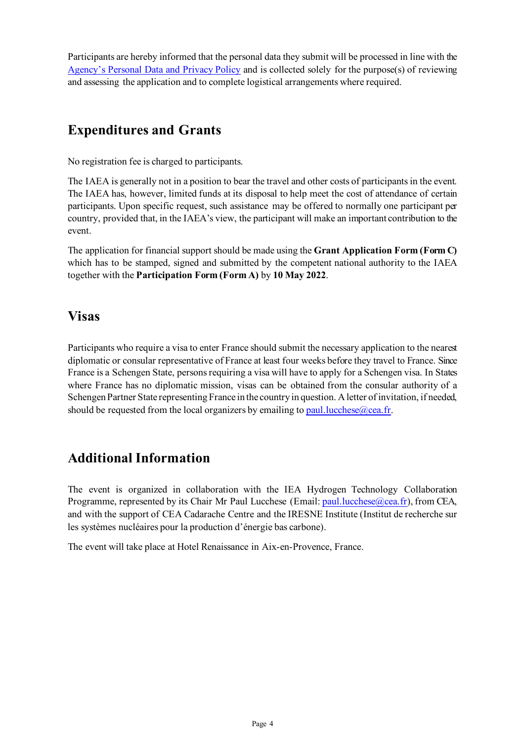Participants are hereby informed that the personal data they submit will be processed in line with the [Agency's Personal Data and Privacy Policy](https://www.iaea.org/about/privacy-policy#:%7E:text=The%20IAEA%20is%20committed%20to,accountable%20and%20non%2Ddiscriminatory%20manner.&text=The%20Privacy%20Policy%20provides%20the,carrying%20out%20its%20mandated%20activities.) and is collected solely for the purpose(s) of reviewing and assessing the application and to complete logistical arrangements where required.

# **Expenditures and Grants**

No registration fee is charged to participants.

The IAEA is generally not in a position to bear the travel and other costs of participants in the event. The IAEA has, however, limited funds at its disposal to help meet the cost of attendance of certain participants. Upon specific request, such assistance may be offered to normally one participant per country, provided that, in the IAEA's view, the participant will make an important contribution to the event.

The application for financial support should be made using the **Grant Application Form (Form C)** which has to be stamped, signed and submitted by the competent national authority to the IAEA together with the **Participation Form (Form A)** by **10 May 2022**.

### **Visas**

Participants who require a visa to enter France should submit the necessary application to the nearest diplomatic or consular representative of France at least four weeks before they travel to France. Since France is a Schengen State, persons requiring a visa will have to apply for a Schengen visa. In States where France has no diplomatic mission, visas can be obtained from the consular authority of a Schengen Partner State representing France in the country in question. A letter of invitation, if needed, should be requested from the local organizers by emailing to paul. lucchese  $\omega$  cea. fr.

## **Additional Information**

The event is organized in collaboration with the IEA Hydrogen Technology Collaboration Programme, represented by its Chair Mr Paul Lucchese (Email[: paul.lucchese@cea.fr\)](mailto:paul.lucchese@cea.fr), from CEA, and with the support of CEA Cadarache Centre and the IRESNE Institute (Institut de recherche sur les systèmes nucléaires pour la production d'énergie bas carbone).

The event will take place at Hotel Renaissance in Aix-en-Provence, France.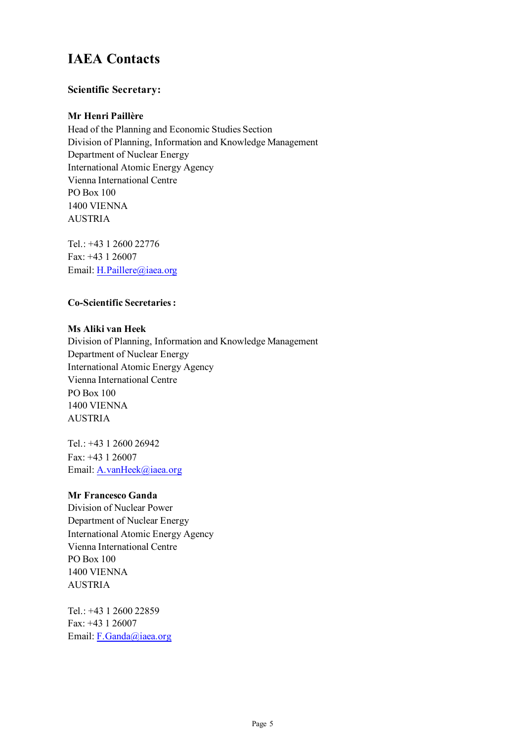# **IAEA Contacts**

#### **Scientific Secretary:**

#### **Mr Henri Paillère**

Head of the Planning and Economic Studies Section Division of Planning, Information and Knowledge Management Department of Nuclear Energy International Atomic Energy Agency Vienna International Centre PO Box 100 1400 VIENNA AUSTRIA

Tel.: +43 1 2600 22776 Fax: +43 1 26007 Email[: H.Paillere@iaea.org](mailto:H.Paillere@iaea.org)

#### **Co-Scientific Secretaries :**

#### **Ms Aliki van Heek**

Division of Planning, Information and Knowledge Management Department of Nuclear Energy International Atomic Energy Agency Vienna International Centre PO Box 100 1400 VIENNA AUSTRIA

Tel.: +43 1 2600 26942 Fax: +43 1 26007 Email[: A.vanHeek@iaea.org](mailto:A.vanHeek@iaea.org)

#### **Mr Francesco Ganda**

Division of Nuclear Power Department of Nuclear Energy International Atomic Energy Agency Vienna International Centre PO Box 100 1400 VIENNA AUSTRIA

Tel.: +43 1 2600 22859 Fax: +43 1 26007 Email[: F.Ganda@iaea.org](mailto:F.Ganda@iaea.org)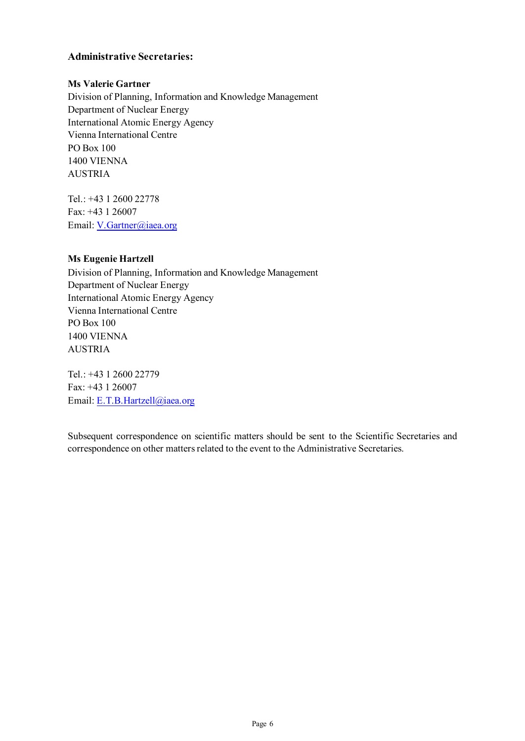#### **Administrative Secretaries:**

#### **Ms Valerie Gartner**

Division of Planning, Information and Knowledge Management Department of Nuclear Energy International Atomic Energy Agency Vienna International Centre PO Box 100 1400 VIENNA AUSTRIA

Tel.: +43 1 2600 22778 Fax: +43 1 26007 Email[: V.Gartner@iaea.org](mailto:V.Gartner@iaea.org)

#### **Ms Eugenie Hartzell**

Division of Planning, Information and Knowledge Management Department of Nuclear Energy International Atomic Energy Agency Vienna International Centre PO Box 100 1400 VIENNA AUSTRIA

Tel.: +43 1 2600 22779 Fax: +43 1 26007 Email[: E.T.B.Hartzell@iaea.org](mailto:E.T.B.Hartzell@iaea.org)

Subsequent correspondence on scientific matters should be sent to the Scientific Secretaries and correspondence on other matters related to the event to the Administrative Secretaries.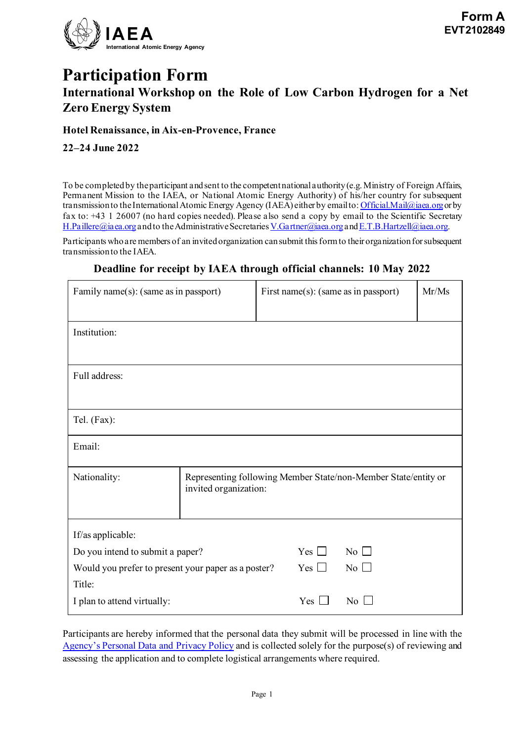

# **Participation Form International Workshop on the Role of Low Carbon Hydrogen for a Net Zero Energy System**

#### **Hotel Renaissance, in Aix-en-Provence, France**

**22–24 June 2022**

To be completed by the participant and sent to the competent national authority (e.g. Ministry of Foreign Affairs, Permanent Mission to the IAEA, or National Atomic Energy Authority) of his/her country for subsequent transmission to the International Atomic Energy Agency (IAEA) either by email to[: Official.Mail@iaea.org](mailto:official.mail@iaea.org) or by fax to: +43 1 26007 (no hard copies needed). Please also send a copy by email to the Scientific Secretary [H.Paillere@iaea.org](mailto:H.Paillere@iaea.org) and to the Administrative Secretaries [V.Gartner@iaea.org](mailto:V.Gartner@iaea.org) an[d E.T.B.Hartzell@iaea.org](mailto:E.T.B.Hartzell@iaea.org).

Participants who are members of an invited organization can submit this form to their organizationfor subsequent transmission to the IAEA.

| Family name(s): (same as in passport)                         |                                                                                         | First name(s): (same as in passport) |                         | Mr/Ms |
|---------------------------------------------------------------|-----------------------------------------------------------------------------------------|--------------------------------------|-------------------------|-------|
| Institution:                                                  |                                                                                         |                                      |                         |       |
| Full address:                                                 |                                                                                         |                                      |                         |       |
| Tel. (Fax):                                                   |                                                                                         |                                      |                         |       |
| Email:                                                        |                                                                                         |                                      |                         |       |
| Nationality:                                                  | Representing following Member State/non-Member State/entity or<br>invited organization: |                                      |                         |       |
| If/as applicable:                                             |                                                                                         |                                      |                         |       |
| Do you intend to submit a paper?                              |                                                                                         | Yes $\Box$                           | No $\Box$               |       |
| Would you prefer to present your paper as a poster?<br>Title: |                                                                                         | Yes $\Box$                           | $\overline{N_0}$ $\Box$ |       |
| I plan to attend virtually:                                   |                                                                                         | Yes                                  | No                      |       |

#### **Deadline for receipt by IAEA through official channels: 10 May 2022**

Participants are hereby informed that the personal data they submit will be processed in line with the [Agency's Personal Data and Privacy Policy](https://www.iaea.org/about/privacy-policy#:%7E:text=The%20IAEA%20is%20committed%20to,accountable%20and%20non%2Ddiscriminatory%20manner.&text=The%20Privacy%20Policy%20provides%20the,carrying%20out%20its%20mandated%20activities.) and is collected solely for the purpose(s) of reviewing and assessing the application and to complete logistical arrangements where required.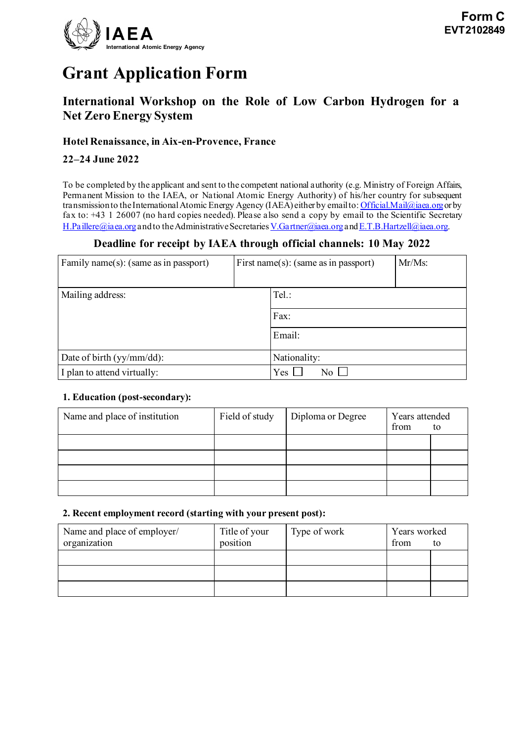

# **Grant Application Form**

### **International Workshop on the Role of Low Carbon Hydrogen for a Net Zero Energy System**

#### **Hotel Renaissance, in Aix-en-Provence, France**

#### **22–24 June 2022**

To be completed by the applicant and sent to the competent national authority (e.g. Ministry of Foreign Affairs, Permanent Mission to the IAEA, or National Atomic Energy Authority) of his/her country for subsequent transmission to the International Atomic Energy Agency (IAEA) either by email to: [Official.Mail@iaea.org](mailto:official.mail@iaea.org) or by fax to: +43 1 26007 (no hard copies needed). Please also send a copy by email to the Scientific Secretary [H.Paillere@iaea.org](mailto:H.Paillere@iaea.org)and to the Administrative Secretarie[s V.Gartner@iaea.org](mailto:V.Gartner@iaea.org)an[d E.T.B.Hartzell@iaea.org](mailto:E.T.B.Hartzell@iaea.org).

#### **Deadline for receipt by IAEA through official channels: 10 May 2022**

| Family name(s): (same as in passport) | First name(s): (same as in passport) |                     | $Mr/Ms$ : |  |
|---------------------------------------|--------------------------------------|---------------------|-----------|--|
| Mailing address:                      |                                      | Tel.:               |           |  |
|                                       |                                      | Fax:                |           |  |
|                                       |                                      | Email:              |           |  |
| Date of birth $(yy/mm / dd)$ :        |                                      | Nationality:        |           |  |
| I plan to attend virtually:           |                                      | Yes<br>$N_{\Omega}$ |           |  |

#### **1. Education (post-secondary):**

| Name and place of institution | Field of study | Diploma or Degree | Years attended<br>from<br>to |  |
|-------------------------------|----------------|-------------------|------------------------------|--|
|                               |                |                   |                              |  |
|                               |                |                   |                              |  |
|                               |                |                   |                              |  |
|                               |                |                   |                              |  |

#### **2. Recent employment record (starting with your present post):**

| Name and place of employer/<br>organization | Title of your<br>position | Type of work | Years worked<br>from | to |
|---------------------------------------------|---------------------------|--------------|----------------------|----|
|                                             |                           |              |                      |    |
|                                             |                           |              |                      |    |
|                                             |                           |              |                      |    |